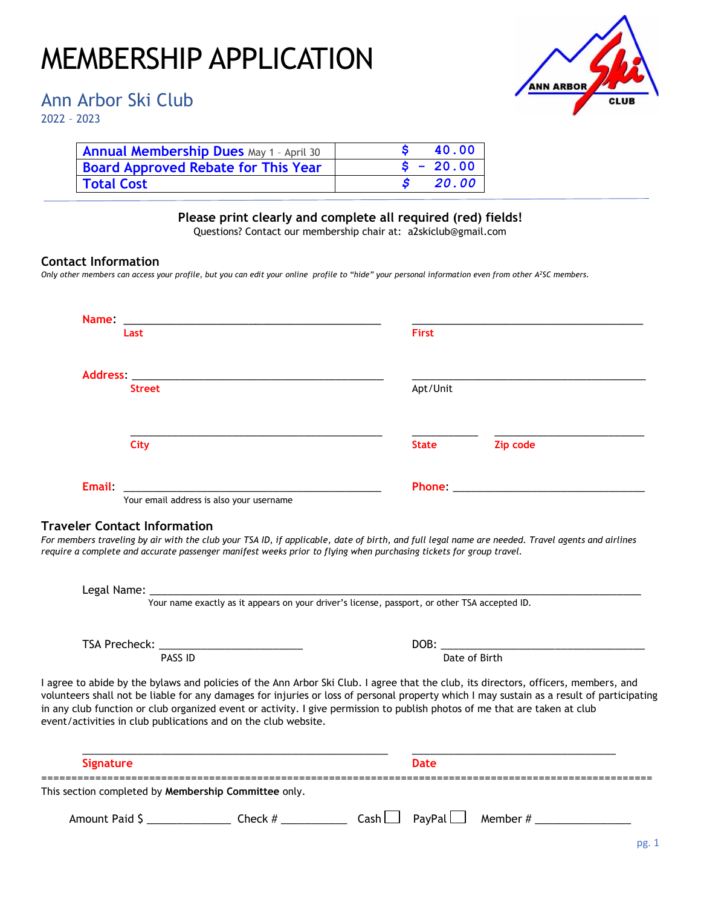## MEMBERSHIP APPLICATION

Ann Arbor Ski Club

2022 – 2023

| <b>ANN ARBOR</b> |             |
|------------------|-------------|
|                  | <b>CLUB</b> |

| Annual Membership Dues May 1 - April 30    |             | 40.00 |
|--------------------------------------------|-------------|-------|
| <b>Board Approved Rebate for This Year</b> | $S - 20.00$ |       |
| <b>Total Cost</b>                          |             | 20.00 |

## **Please print clearly and complete all required (red) fields!**

Questions? Contact our membership chair at: a2skiclub@gmail.com

## **Contact Information**

*Only other members can access your profile, but you can edit your online profile to "hide" your personal information even from other A<sup>2</sup>SC members.*

| Name:            |                                                                                   |                                                                                                                            |               |                                                                                                                                                                                                                                                                                  |  |
|------------------|-----------------------------------------------------------------------------------|----------------------------------------------------------------------------------------------------------------------------|---------------|----------------------------------------------------------------------------------------------------------------------------------------------------------------------------------------------------------------------------------------------------------------------------------|--|
|                  | Last                                                                              |                                                                                                                            | <b>First</b>  |                                                                                                                                                                                                                                                                                  |  |
|                  | Address: Andreas Address: Address: Address: Address: Address: Address: Address: A |                                                                                                                            |               |                                                                                                                                                                                                                                                                                  |  |
|                  | <b>Street</b>                                                                     |                                                                                                                            | Apt/Unit      |                                                                                                                                                                                                                                                                                  |  |
|                  | City                                                                              |                                                                                                                            | <b>State</b>  | Zip code                                                                                                                                                                                                                                                                         |  |
| Email:           | Vour email address is also your username                                          |                                                                                                                            |               | <b>Phone:</b> Phone and the contract of the contract of the contract of the contract of the contract of the contract of the contract of the contract of the contract of the contract of the contract of the contract of the contrac                                              |  |
|                  |                                                                                   |                                                                                                                            |               |                                                                                                                                                                                                                                                                                  |  |
|                  |                                                                                   |                                                                                                                            |               |                                                                                                                                                                                                                                                                                  |  |
|                  |                                                                                   |                                                                                                                            | Date of Birth |                                                                                                                                                                                                                                                                                  |  |
|                  | PASS ID                                                                           |                                                                                                                            |               |                                                                                                                                                                                                                                                                                  |  |
|                  | event/activities in club publications and on the club website.                    | in any club function or club organized event or activity. I give permission to publish photos of me that are taken at club |               | I agree to abide by the bylaws and policies of the Ann Arbor Ski Club. I agree that the club, its directors, officers, members, and<br>volunteers shall not be liable for any damages for injuries or loss of personal property which I may sustain as a result of participating |  |
| <b>Signature</b> |                                                                                   |                                                                                                                            | <b>Date</b>   |                                                                                                                                                                                                                                                                                  |  |
|                  | This section completed by Membership Committee only.                              |                                                                                                                            |               |                                                                                                                                                                                                                                                                                  |  |
| Amount Paid \$   | $\frac{1}{2}$ Check #                                                             | _______ Cash __ ̄ PayPal L                                                                                                 |               | $\Box$ Member # $\_$                                                                                                                                                                                                                                                             |  |